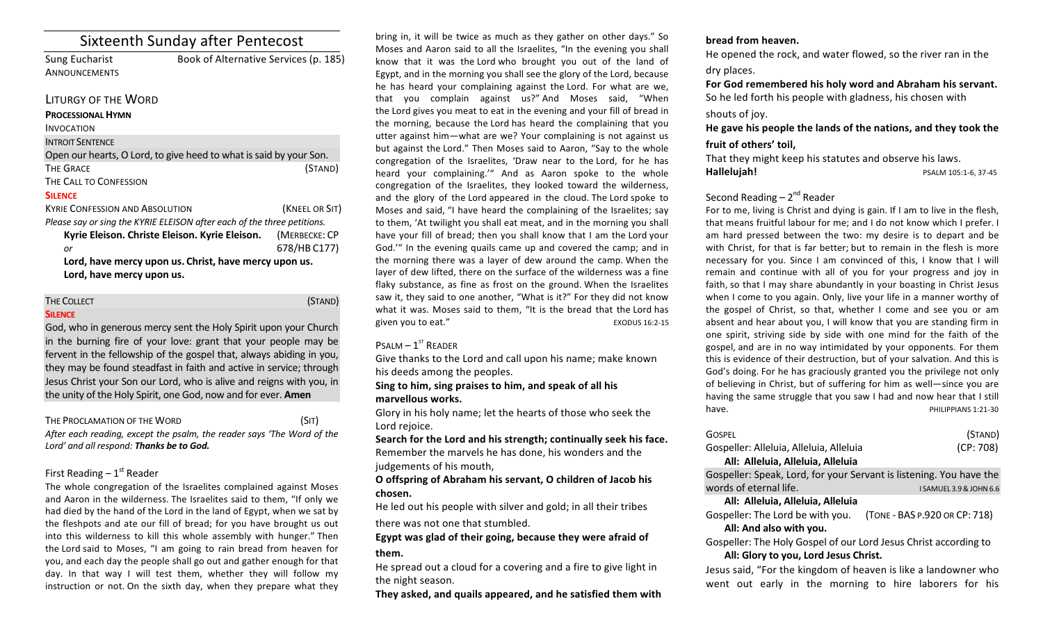# Sixteenth Sunday after Pentecost

Sung Eucharist Book of Alternative Services (p. 185) **ANNOUNCEMENTS** 

## LITURGY OF THE WORD

## **PROCESSIONAL HYMN** INVOCATION **INTROIT SENTENCE** Open our hearts, O Lord, to give heed to what is said by your Son. THE GRACE (STAND)

THE CALL TO CONFESSION

#### **SILENCE**

KYRIE CONFESSION AND ABSOLUTION *INTEREL OR SIT Please say or sing the KYRIE ELEISON after each of the three petitions.* **Kyrie Eleison. Christe Eleison. Kyrie Eleison.** (MERBECKE: CP *or* 678/HB C177) Lord, have mercy upon us. Christ, have mercy upon us. Lord, have mercy upon us.

## THE COLLECT **THE COLLECT COLLECT (STAND)**

#### **SILENCE**

God, who in generous mercy sent the Holy Spirit upon your Church in the burning fire of your love: grant that your people may be fervent in the fellowship of the gospel that, always abiding in you, they may be found steadfast in faith and active in service; through Jesus Christ your Son our Lord, who is alive and reigns with you, in the unity of the Holy Spirit, one God, now and for ever. **Amen** 

#### THE PROCLAMATION OF THE WORD (SIT)

After each reading, except the psalm, the reader says 'The Word of the Lord' and all respond: Thanks be to God.

## First Reading  $-1<sup>st</sup>$  Reader

The whole congregation of the Israelites complained against Moses and Aaron in the wilderness. The Israelites said to them, "If only we had died by the hand of the Lord in the land of Egypt, when we sat by the fleshpots and ate our fill of bread; for you have brought us out into this wilderness to kill this whole assembly with hunger." Then the Lord said to Moses, "I am going to rain bread from heaven for you, and each day the people shall go out and gather enough for that day. In that way I will test them, whether they will follow my instruction or not. On the sixth day, when they prepare what they

bring in, it will be twice as much as they gather on other days." So Moses and Aaron said to all the Israelites, "In the evening you shall know that it was the Lord who brought you out of the land of Egypt, and in the morning you shall see the glory of the Lord, because he has heard your complaining against the Lord. For what are we, that you complain against us?" And Moses said, "When the Lord gives you meat to eat in the evening and your fill of bread in the morning, because the Lord has heard the complaining that you utter against him—what are we? Your complaining is not against us but against the Lord." Then Moses said to Aaron, "Say to the whole congregation of the Israelites, 'Draw near to the Lord, for he has heard your complaining.'" And as Aaron spoke to the whole congregation of the Israelites, they looked toward the wilderness, and the glory of the Lord appeared in the cloud. The Lord spoke to Moses and said, "I have heard the complaining of the Israelites; say to them, 'At twilight you shall eat meat, and in the morning you shall have your fill of bread; then you shall know that I am the Lord your God.'" In the evening quails came up and covered the camp; and in the morning there was a layer of dew around the camp. When the layer of dew lifted, there on the surface of the wilderness was a fine flaky substance, as fine as frost on the ground. When the Israelites saw it, they said to one another, "What is it?" For they did not know what it was. Moses said to them, "It is the bread that the Lord has given you to eat." 
EXODUS 16:2-15

## $P$ SALM –  $1^{ST}$  RFADER

Give thanks to the Lord and call upon his name; make known his deeds among the peoples.

Sing to him, sing praises to him, and speak of all his **marvellous works.**

Glory in his holy name; let the hearts of those who seek the Lord rejoice.

Search for the Lord and his strength; continually seek his face. Remember the marvels he has done, his wonders and the judgements of his mouth,

**O** offspring of Abraham his servant, O children of Jacob his **chosen.**

He led out his people with silver and gold; in all their tribes there was not one that stumbled.

Egypt was glad of their going, because they were afraid of **them.** 

He spread out a cloud for a covering and a fire to give light in the night season.

They asked, and quails appeared, and he satisfied them with

### **bread from heaven.**

He opened the rock, and water flowed, so the river ran in the dry places.

For God remembered his holy word and Abraham his servant. So he led forth his people with gladness, his chosen with

## shouts of joy.

He gave his people the lands of the nations, and they took the

### fruit of others' toil.

That they might keep his statutes and observe his laws. **Hallelujah! PSALM** 105:1-6, 37-45

## Second Reading  $- 2<sup>nd</sup>$  Reader

For to me, living is Christ and dying is gain. If I am to live in the flesh, that means fruitful labour for me; and I do not know which I prefer. I am hard pressed between the two: my desire is to depart and be with Christ, for that is far better; but to remain in the flesh is more necessary for you. Since I am convinced of this, I know that I will remain and continue with all of you for your progress and joy in faith, so that I may share abundantly in your boasting in Christ Jesus when I come to you again. Only, live your life in a manner worthy of the gospel of Christ, so that, whether I come and see you or am absent and hear about you, I will know that you are standing firm in one spirit, striving side by side with one mind for the faith of the gospel, and are in no way intimidated by your opponents. For them this is evidence of their destruction, but of your salvation. And this is God's doing. For he has graciously granted you the privilege not only of believing in Christ, but of suffering for him as well-since you are having the same struggle that you saw I had and now hear that I still have. **PHILIPPIANS** 1:21-30

| (STAND)   |
|-----------|
| (CP: 708) |
|           |
|           |

Gospeller: Speak, Lord, for your Servant is listening. You have the Words of eternal life. **In the case of the contract of the contract of the contract of the contract of the contract of the contract of the contract of the contract of the contract of the contract of the contract of the con** 

**All: Alleluia, Alleluia, Alleluia**

Gospeller: The Lord be with you. (TONE - BAS P.920 OR CP: 718) All: And also with you.

Gospeller: The Holy Gospel of our Lord Jesus Christ according to All: Glory to you, Lord Jesus Christ.

Jesus said, "For the kingdom of heaven is like a landowner who went out early in the morning to hire laborers for his